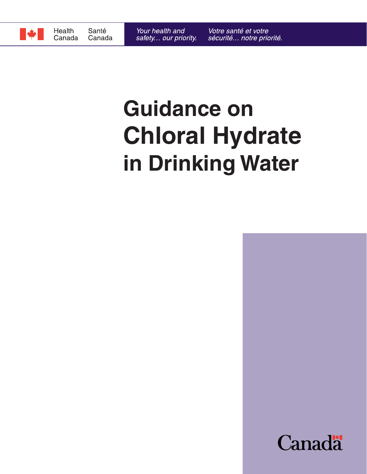

# **Guidance on Chloral Hydrate in Drinking Water**

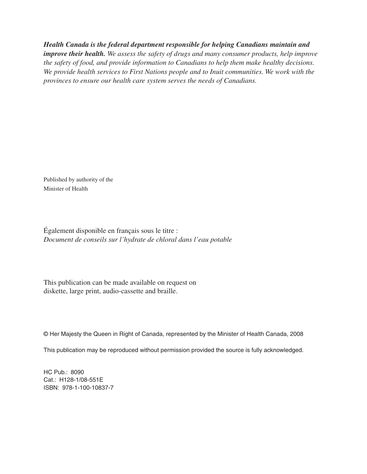*Health Canada is the federal department responsible for helping Canadians maintain and* 

*improve their health. We assess the safety of drugs and many consumer products, help improve the safety of food, and provide information to Canadians to help them make healthy decisions. We provide health services to First Nations people and to Inuit communities. We work with the provinces to ensure our health care system serves the needs of Canadians.*

Published by authority of the Minister of Health

Également disponible en français sous le titre : *Document de conseils sur l'hydrate de chloral dans l'eau potable*

This publication can be made available on request on diskette, large print, audio-cassette and braille.

© Her Majesty the Queen in Right of Canada, represented by the Minister of Health Canada, 2008

This publication may be reproduced without permission provided the source is fully acknowledged.

HC Pub.: 8090 Cat.: H128-1/08-551E ISBN: 978-1-100-10837-7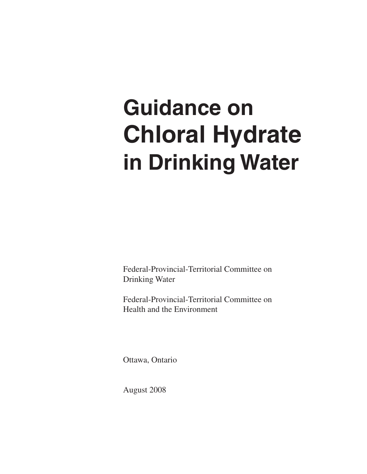# **Guidance on Chloral Hydrate in Drinking Water**

Federal-Provincial-Territorial Committee on Drinking Water

Federal-Provincial-Territorial Committee on Health and the Environment

Ottawa, Ontario

August 2008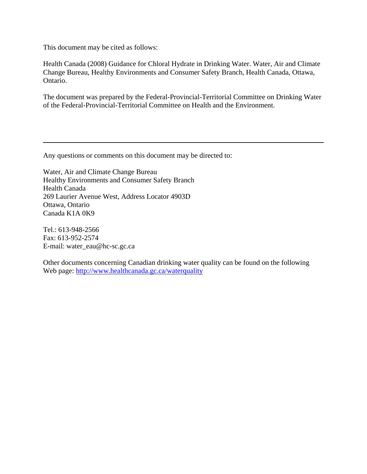This document may be cited as follows:

Health Canada (2008) Guidance for Chloral Hydrate in Drinking Water. Water, Air and Climate Change Bureau, Healthy Environments and Consumer Safety Branch, Health Canada, Ottawa, Ontario.

The document was prepared by the Federal-Provincial-Territorial Committee on Drinking Water of the Federal-Provincial-Territorial Committee on Health and the Environment.

Any questions or comments on this document may be directed to:

Water, Air and Climate Change Bureau Healthy Environments and Consumer Safety Branch Health Canada 269 Laurier Avenue West, Address Locator 4903D Ottawa, Ontario Canada K1A 0K9

Tel.: 613-948-2566 Fax: 613-952-2574 E-mail: water\_eau@hc-sc.gc.ca

Other documents concerning Canadian drinking water quality can be found on the following Web page: http://www.healthcanada.gc.ca/waterquality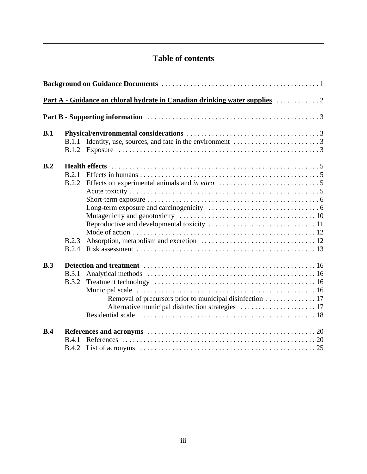## **Table of contents**

| B.1 |              |                                                                                                 |  |  |
|-----|--------------|-------------------------------------------------------------------------------------------------|--|--|
|     | B.1.1        | Identity, use, sources, and fate in the environment $\dots \dots \dots \dots \dots \dots \dots$ |  |  |
|     |              |                                                                                                 |  |  |
| B.2 |              |                                                                                                 |  |  |
|     | B.2.1        |                                                                                                 |  |  |
|     | B.2.2        |                                                                                                 |  |  |
|     |              |                                                                                                 |  |  |
|     |              |                                                                                                 |  |  |
|     |              |                                                                                                 |  |  |
|     |              |                                                                                                 |  |  |
|     |              |                                                                                                 |  |  |
|     |              |                                                                                                 |  |  |
|     | B.2.3        |                                                                                                 |  |  |
|     | B.2.4        |                                                                                                 |  |  |
| B.3 |              |                                                                                                 |  |  |
|     | B.3.1        |                                                                                                 |  |  |
|     | <b>B.3.2</b> |                                                                                                 |  |  |
|     |              |                                                                                                 |  |  |
|     |              |                                                                                                 |  |  |
|     |              |                                                                                                 |  |  |
|     |              |                                                                                                 |  |  |
| B.4 |              |                                                                                                 |  |  |
|     | <b>B</b> 4.1 |                                                                                                 |  |  |
|     |              |                                                                                                 |  |  |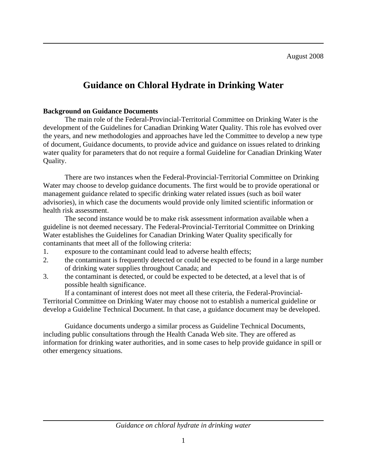August 2008

## **Guidance on Chloral Hydrate in Drinking Water**

#### **Background on Guidance Documents**

The main role of the Federal-Provincial-Territorial Committee on Drinking Water is the development of the Guidelines for Canadian Drinking Water Quality. This role has evolved over the years, and new methodologies and approaches have led the Committee to develop a new type of document, Guidance documents, to provide advice and guidance on issues related to drinking water quality for parameters that do not require a formal Guideline for Canadian Drinking Water Quality.

There are two instances when the Federal-Provincial-Territorial Committee on Drinking Water may choose to develop guidance documents. The first would be to provide operational or management guidance related to specific drinking water related issues (such as boil water advisories), in which case the documents would provide only limited scientific information or health risk assessment.

The second instance would be to make risk assessment information available when a guideline is not deemed necessary. The Federal-Provincial-Territorial Committee on Drinking Water establishes the Guidelines for Canadian Drinking Water Quality specifically for contaminants that meet all of the following criteria:

- 1. exposure to the contaminant could lead to adverse health effects;
- 2. the contaminant is frequently detected or could be expected to be found in a large number of drinking water supplies throughout Canada; and
- 3. the contaminant is detected, or could be expected to be detected, at a level that is of possible health significance.

If a contaminant of interest does not meet all these criteria, the Federal-Provincial-Territorial Committee on Drinking Water may choose not to establish a numerical guideline or develop a Guideline Technical Document. In that case, a guidance document may be developed.

Guidance documents undergo a similar process as Guideline Technical Documents, including public consultations through the Health Canada Web site. They are offered as information for drinking water authorities, and in some cases to help provide guidance in spill or other emergency situations.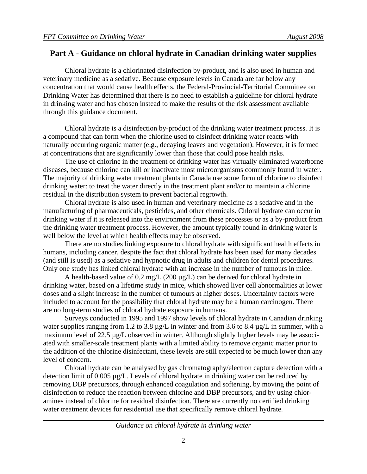## **Part A - Guidance on chloral hydrate in Canadian drinking water supplies**

Chloral hydrate is a chlorinated disinfection by-product, and is also used in human and veterinary medicine as a sedative. Because exposure levels in Canada are far below any concentration that would cause health effects, the Federal-Provincial-Territorial Committee on Drinking Water has determined that there is no need to establish a guideline for chloral hydrate in drinking water and has chosen instead to make the results of the risk assessment available through this guidance document.

Chloral hydrate is a disinfection by-product of the drinking water treatment process. It is a compound that can form when the chlorine used to disinfect drinking water reacts with naturally occurring organic matter (e.g., decaying leaves and vegetation). However, it is formed at concentrations that are significantly lower than those that could pose health risks.

The use of chlorine in the treatment of drinking water has virtually eliminated waterborne diseases, because chlorine can kill or inactivate most microorganisms commonly found in water. The majority of drinking water treatment plants in Canada use some form of chlorine to disinfect drinking water: to treat the water directly in the treatment plant and/or to maintain a chlorine residual in the distribution system to prevent bacterial regrowth.

Chloral hydrate is also used in human and veterinary medicine as a sedative and in the manufacturing of pharmaceuticals, pesticides, and other chemicals. Chloral hydrate can occur in drinking water if it is released into the environment from these processes or as a by-product from the drinking water treatment process. However, the amount typically found in drinking water is well below the level at which health effects may be observed.

There are no studies linking exposure to chloral hydrate with significant health effects in humans, including cancer, despite the fact that chloral hydrate has been used for many decades (and still is used) as a sedative and hypnotic drug in adults and children for dental procedures. Only one study has linked chloral hydrate with an increase in the number of tumours in mice.

A health-based value of 0.2 mg/L (200  $\mu$ g/L) can be derived for chloral hydrate in drinking water, based on a lifetime study in mice, which showed liver cell abnormalities at lower doses and a slight increase in the number of tumours at higher doses. Uncertainty factors were included to account for the possibility that chloral hydrate may be a human carcinogen. There are no long-term studies of chloral hydrate exposure in humans.

Surveys conducted in 1995 and 1997 show levels of chloral hydrate in Canadian drinking water supplies ranging from 1.2 to 3.8  $\mu$ g/L in winter and from 3.6 to 8.4  $\mu$ g/L in summer, with a maximum level of 22.5 µg/L observed in winter. Although slightly higher levels may be associated with smaller-scale treatment plants with a limited ability to remove organic matter prior to the addition of the chlorine disinfectant, these levels are still expected to be much lower than any level of concern.

Chloral hydrate can be analysed by gas chromatography/electron capture detection with a detection limit of 0.005 µg/L. Levels of chloral hydrate in drinking water can be reduced by removing DBP precursors, through enhanced coagulation and softening, by moving the point of disinfection to reduce the reaction between chlorine and DBP precursors, and by using chloramines instead of chlorine for residual disinfection. There are currently no certified drinking water treatment devices for residential use that specifically remove chloral hydrate.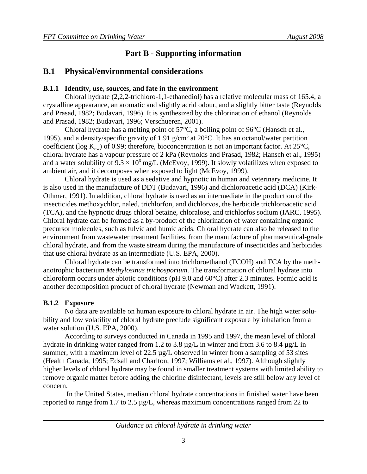## **Part B - Supporting information**

## **B.1 Physical/environmental considerations**

#### **B.1.1 Identity, use, sources, and fate in the environment**

Chloral hydrate (2,2,2-trichloro-1,1-ethanediol) has a relative molecular mass of 165.4, a crystalline appearance, an aromatic and slightly acrid odour, and a slightly bitter taste (Reynolds and Prasad, 1982; Budavari, 1996). It is synthesized by the chlorination of ethanol (Reynolds and Prasad, 1982; Budavari, 1996; Verschueren, 2001).

Chloral hydrate has a melting point of 57°C, a boiling point of 96°C (Hansch et al., 1995), and a density/specific gravity of 1.91  $g/cm<sup>3</sup>$  at 20°C. It has an octanol/water partition coefficient (log  $K_{\text{ow}}$ ) of 0.99; therefore, bioconcentration is not an important factor. At 25 $^{\circ}$ C, chloral hydrate has a vapour pressure of 2 kPa (Reynolds and Prasad, 1982; Hansch et al., 1995) and a water solubility of  $9.3 \times 10^6$  mg/L (McEvoy, 1999). It slowly volatilizes when exposed to ambient air, and it decomposes when exposed to light (McEvoy, 1999).

Chloral hydrate is used as a sedative and hypnotic in human and veterinary medicine. It is also used in the manufacture of DDT (Budavari, 1996) and dichloroacetic acid (DCA) (Kirk-Othmer, 1991). In addition, chloral hydrate is used as an intermediate in the production of the insecticides methoxychlor, naled, trichlorfon, and dichlorvos, the herbicide trichloroacetic acid (TCA), and the hypnotic drugs chloral betaine, chloralose, and trichlorfos sodium (IARC, 1995). Chloral hydrate can be formed as a by-product of the chlorination of water containing organic precursor molecules, such as fulvic and humic acids. Chloral hydrate can also be released to the environment from wastewater treatment facilities, from the manufacture of pharmaceutical-grade chloral hydrate, and from the waste stream during the manufacture of insecticides and herbicides that use chloral hydrate as an intermediate (U.S. EPA, 2000).

Chloral hydrate can be transformed into trichloroethanol (TCOH) and TCA by the methanotrophic bacterium *Methylosinus trichosporium*. The transformation of chloral hydrate into chloroform occurs under abiotic conditions (pH 9.0 and 60°C) after 2.3 minutes. Formic acid is another decomposition product of chloral hydrate (Newman and Wackett, 1991).

#### **B.1.2 Exposure**

No data are available on human exposure to chloral hydrate in air. The high water solubility and low volatility of chloral hydrate preclude significant exposure by inhalation from a water solution (U.S. EPA, 2000).

According to surveys conducted in Canada in 1995 and 1997, the mean level of chloral hydrate in drinking water ranged from 1.2 to 3.8  $\mu$ g/L in winter and from 3.6 to 8.4  $\mu$ g/L in summer, with a maximum level of 22.5  $\mu$ g/L observed in winter from a sampling of 53 sites (Health Canada, 1995; Edsall and Charlton, 1997; Williams et al., 1997). Although slightly higher levels of chloral hydrate may be found in smaller treatment systems with limited ability to remove organic matter before adding the chlorine disinfectant, levels are still below any level of concern.

 In the United States, median chloral hydrate concentrations in finished water have been reported to range from 1.7 to 2.5 µg/L, whereas maximum concentrations ranged from 22 to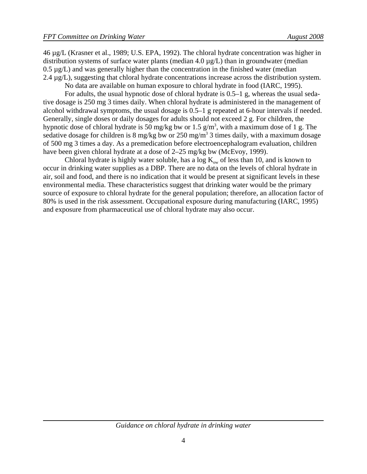46 µg/L (Krasner et al., 1989; U.S. EPA, 1992). The chloral hydrate concentration was higher in distribution systems of surface water plants (median 4.0 µg/L) than in groundwater (median 0.5 µg/L) and was generally higher than the concentration in the finished water (median 2.4  $\mu$ g/L), suggesting that chloral hydrate concentrations increase across the distribution system.

No data are available on human exposure to chloral hydrate in food (IARC, 1995).

For adults, the usual hypnotic dose of chloral hydrate is 0.5–1 g, whereas the usual sedative dosage is 250 mg 3 times daily. When chloral hydrate is administered in the management of alcohol withdrawal symptoms, the usual dosage is 0.5–1 g repeated at 6-hour intervals if needed. Generally, single doses or daily dosages for adults should not exceed 2 g. For children, the hypnotic dose of chloral hydrate is 50 mg/kg bw or 1.5  $g/m<sup>3</sup>$ , with a maximum dose of 1 g. The sedative dosage for children is 8 mg/kg bw or 250 mg/m<sup>3</sup> 3 times daily, with a maximum dosage of 500 mg 3 times a day. As a premedication before electroencephalogram evaluation, children have been given chloral hydrate at a dose of 2–25 mg/kg bw (McEvoy, 1999).

Chloral hydrate is highly water soluble, has a log  $K_{ow}$  of less than 10, and is known to occur in drinking water supplies as a DBP. There are no data on the levels of chloral hydrate in air, soil and food, and there is no indication that it would be present at significant levels in these environmental media. These characteristics suggest that drinking water would be the primary source of exposure to chloral hydrate for the general population; therefore, an allocation factor of 80% is used in the risk assessment. Occupational exposure during manufacturing (IARC, 1995) and exposure from pharmaceutical use of chloral hydrate may also occur.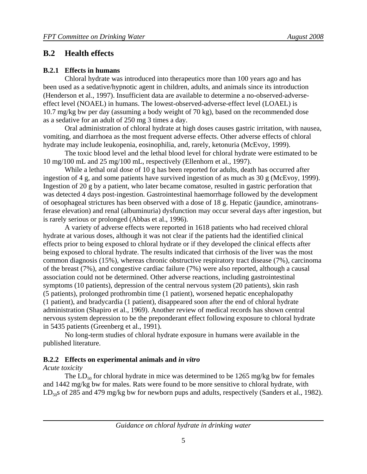## **B.2 Health effects**

#### **B.2.1 Effects in humans**

Chloral hydrate was introduced into therapeutics more than 100 years ago and has been used as a sedative/hypnotic agent in children, adults, and animals since its introduction (Henderson et al., 1997). Insufficient data are available to determine a no-observed-adverseeffect level (NOAEL) in humans. The lowest-observed-adverse-effect level (LOAEL) is 10.7 mg/kg bw per day (assuming a body weight of 70 kg), based on the recommended dose as a sedative for an adult of 250 mg 3 times a day.

Oral administration of chloral hydrate at high doses causes gastric irritation, with nausea, vomiting, and diarrhoea as the most frequent adverse effects. Other adverse effects of chloral hydrate may include leukopenia, eosinophilia, and, rarely, ketonuria (McEvoy, 1999).

The toxic blood level and the lethal blood level for chloral hydrate were estimated to be 10 mg/100 mL and 25 mg/100 mL, respectively (Ellenhorn et al., 1997).

While a lethal oral dose of 10 g has been reported for adults, death has occurred after ingestion of 4 g, and some patients have survived ingestion of as much as 30 g (McEvoy, 1999). Ingestion of 20 g by a patient, who later became comatose, resulted in gastric perforation that was detected 4 days post-ingestion. Gastrointestinal haemorrhage followed by the development of oesophageal strictures has been observed with a dose of 18 g. Hepatic (jaundice, aminotransferase elevation) and renal (albuminuria) dysfunction may occur several days after ingestion, but is rarely serious or prolonged (Abbas et al., 1996).

A variety of adverse effects were reported in 1618 patients who had received chloral hydrate at various doses, although it was not clear if the patients had the identified clinical effects prior to being exposed to chloral hydrate or if they developed the clinical effects after being exposed to chloral hydrate. The results indicated that cirrhosis of the liver was the most common diagnosis (15%), whereas chronic obstructive respiratory tract disease (7%), carcinoma of the breast (7%), and congestive cardiac failure (7%) were also reported, although a causal association could not be determined. Other adverse reactions, including gastrointestinal symptoms (10 patients), depression of the central nervous system (20 patients), skin rash (5 patients), prolonged prothrombin time (1 patient), worsened hepatic encephalopathy (1 patient), and bradycardia (1 patient), disappeared soon after the end of chloral hydrate administration (Shapiro et al., 1969). Another review of medical records has shown central nervous system depression to be the preponderant effect following exposure to chloral hydrate in 5435 patients (Greenberg et al., 1991).

No long-term studies of chloral hydrate exposure in humans were available in the published literature.

#### **B.2.2 Effects on experimental animals and** *in vitro*

#### *Acute toxicity*

The  $LD_{50}$  for chloral hydrate in mice was determined to be 1265 mg/kg bw for females and 1442 mg/kg bw for males. Rats were found to be more sensitive to chloral hydrate, with  $LD_{50}$ s of 285 and 479 mg/kg bw for newborn pups and adults, respectively (Sanders et al., 1982).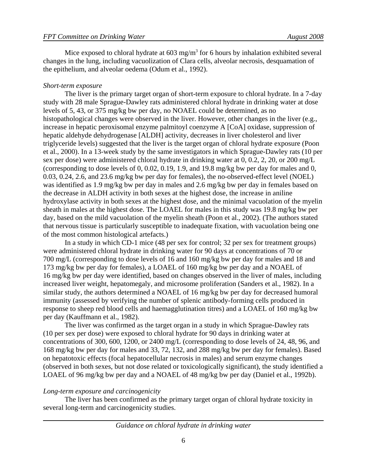Mice exposed to chloral hydrate at  $603 \text{ mg/m}^3$  for 6 hours by inhalation exhibited several changes in the lung, including vacuolization of Clara cells, alveolar necrosis, desquamation of the epithelium, and alveolar oedema (Odum et al., 1992).

#### *Short-term exposure*

The liver is the primary target organ of short-term exposure to chloral hydrate. In a 7-day study with 28 male Sprague-Dawley rats administered chloral hydrate in drinking water at dose levels of 5, 43, or 375 mg/kg bw per day, no NOAEL could be determined, as no histopathological changes were observed in the liver. However, other changes in the liver (e.g., increase in hepatic peroxisomal enzyme palmitoyl coenzyme A [CoA] oxidase, suppression of hepatic aldehyde dehydrogenase [ALDH] activity, decreases in liver cholesterol and liver triglyceride levels) suggested that the liver is the target organ of chloral hydrate exposure (Poon et al., 2000). In a 13-week study by the same investigators in which Sprague-Dawley rats (10 per sex per dose) were administered chloral hydrate in drinking water at 0, 0.2, 2, 20, or 200 mg/L (corresponding to dose levels of 0, 0.02, 0.19, 1.9, and 19.8 mg/kg bw per day for males and 0, 0.03, 0.24, 2.6, and 23.6 mg/kg bw per day for females), the no-observed-effect level (NOEL) was identified as 1.9 mg/kg bw per day in males and 2.6 mg/kg bw per day in females based on the decrease in ALDH activity in both sexes at the highest dose, the increase in aniline hydroxylase activity in both sexes at the highest dose, and the minimal vacuolation of the myelin sheath in males at the highest dose. The LOAEL for males in this study was 19.8 mg/kg bw per day, based on the mild vacuolation of the myelin sheath (Poon et al., 2002). (The authors stated that nervous tissue is particularly susceptible to inadequate fixation, with vacuolation being one of the most common histological artefacts.)

In a study in which CD-1 mice (48 per sex for control; 32 per sex for treatment groups) were administered chloral hydrate in drinking water for 90 days at concentrations of 70 or 700 mg/L (corresponding to dose levels of 16 and 160 mg/kg bw per day for males and 18 and 173 mg/kg bw per day for females), a LOAEL of 160 mg/kg bw per day and a NOAEL of 16 mg/kg bw per day were identified, based on changes observed in the liver of males, including increased liver weight, hepatomegaly, and microsome proliferation (Sanders et al., 1982). In a similar study, the authors determined a NOAEL of 16 mg/kg bw per day for decreased humoral immunity (assessed by verifying the number of splenic antibody-forming cells produced in response to sheep red blood cells and haemagglutination titres) and a LOAEL of 160 mg/kg bw per day (Kauffmann et al., 1982).

The liver was confirmed as the target organ in a study in which Sprague-Dawley rats (10 per sex per dose) were exposed to chloral hydrate for 90 days in drinking water at concentrations of 300, 600, 1200, or 2400 mg/L (corresponding to dose levels of 24, 48, 96, and 168 mg/kg bw per day for males and 33, 72, 132, and 288 mg/kg bw per day for females). Based on hepatotoxic effects (focal hepatocellular necrosis in males) and serum enzyme changes (observed in both sexes, but not dose related or toxicologically significant), the study identified a LOAEL of 96 mg/kg bw per day and a NOAEL of 48 mg/kg bw per day (Daniel et al., 1992b).

#### *Long-term exposure and carcinogenicity*

The liver has been confirmed as the primary target organ of chloral hydrate toxicity in several long-term and carcinogenicity studies.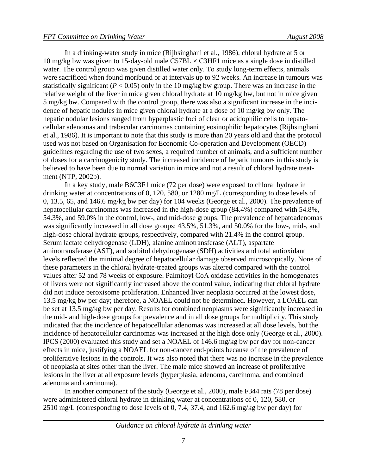In a drinking-water study in mice (Rijhsinghani et al., 1986), chloral hydrate at 5 or 10 mg/kg bw was given to 15-day-old male C57BL  $\times$  C3HF1 mice as a single dose in distilled water. The control group was given distilled water only. To study long-term effects, animals were sacrificed when found moribund or at intervals up to 92 weeks. An increase in tumours was statistically significant ( $P < 0.05$ ) only in the 10 mg/kg bw group. There was an increase in the relative weight of the liver in mice given chloral hydrate at 10 mg/kg bw, but not in mice given 5 mg/kg bw. Compared with the control group, there was also a significant increase in the incidence of hepatic nodules in mice given chloral hydrate at a dose of 10 mg/kg bw only. The hepatic nodular lesions ranged from hyperplastic foci of clear or acidophilic cells to hepatocellular adenomas and trabecular carcinomas containing eosinophilic hepatocytes (Rijhsinghani et al., 1986). It is important to note that this study is more than 20 years old and that the protocol used was not based on Organisation for Economic Co-operation and Development (OECD) guidelines regarding the use of two sexes, a required number of animals, and a sufficient number of doses for a carcinogenicity study. The increased incidence of hepatic tumours in this study is believed to have been due to normal variation in mice and not a result of chloral hydrate treatment (NTP, 2002b).

In a key study, male B6C3F1 mice (72 per dose) were exposed to chloral hydrate in drinking water at concentrations of 0, 120, 580, or 1280 mg/L (corresponding to dose levels of 0, 13.5, 65, and 146.6 mg/kg bw per day) for 104 weeks (George et al., 2000). The prevalence of hepatocellular carcinomas was increased in the high-dose group (84.4%) compared with 54.8%, 54.3%, and 59.0% in the control, low-, and mid-dose groups. The prevalence of hepatoadenomas was significantly increased in all dose groups: 43.5%, 51.3%, and 50.0% for the low-, mid-, and high-dose chloral hydrate groups, respectively, compared with 21.4% in the control group. Serum lactate dehydrogenase (LDH), alanine aminotransferase (ALT), aspartate aminotransferase (AST), and sorbitol dehydrogenase (SDH) activities and total antioxidant levels reflected the minimal degree of hepatocellular damage observed microscopically. None of these parameters in the chloral hydrate-treated groups was altered compared with the control values after 52 and 78 weeks of exposure. Palmitoyl CoA oxidase activities in the homogenates of livers were not significantly increased above the control value, indicating that chloral hydrate did not induce peroxisome proliferation. Enhanced liver neoplasia occurred at the lowest dose, 13.5 mg/kg bw per day; therefore, a NOAEL could not be determined. However, a LOAEL can be set at 13.5 mg/kg bw per day. Results for combined neoplasms were significantly increased in the mid- and high-dose groups for prevalence and in all dose groups for multiplicity. This study indicated that the incidence of hepatocellular adenomas was increased at all dose levels, but the incidence of hepatocellular carcinomas was increased at the high dose only (George et al., 2000). IPCS (2000) evaluated this study and set a NOAEL of 146.6 mg/kg bw per day for non-cancer effects in mice, justifying a NOAEL for non-cancer end-points because of the prevalence of proliferative lesions in the controls. It was also noted that there was no increase in the prevalence of neoplasia at sites other than the liver. The male mice showed an increase of proliferative lesions in the liver at all exposure levels (hyperplasia, adenoma, carcinoma, and combined adenoma and carcinoma).

In another component of the study (George et al., 2000), male F344 rats (78 per dose) were administered chloral hydrate in drinking water at concentrations of 0, 120, 580, or 2510 mg/L (corresponding to dose levels of 0, 7.4, 37.4, and 162.6 mg/kg bw per day) for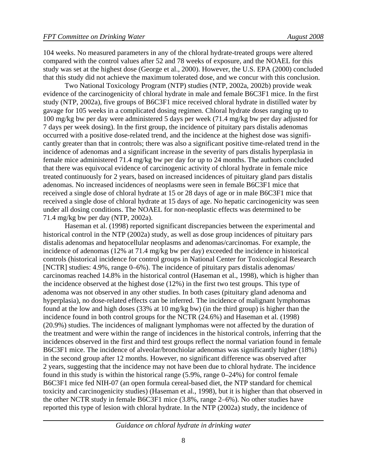104 weeks. No measured parameters in any of the chloral hydrate-treated groups were altered compared with the control values after 52 and 78 weeks of exposure, and the NOAEL for this study was set at the highest dose (George et al., 2000). However, the U.S. EPA (2000) concluded that this study did not achieve the maximum tolerated dose, and we concur with this conclusion.

Two National Toxicology Program (NTP) studies (NTP, 2002a, 2002b) provide weak evidence of the carcinogenicity of chloral hydrate in male and female B6C3F1 mice. In the first study (NTP, 2002a), five groups of B6C3F1 mice received chloral hydrate in distilled water by gavage for 105 weeks in a complicated dosing regimen. Chloral hydrate doses ranging up to 100 mg/kg bw per day were administered 5 days per week (71.4 mg/kg bw per day adjusted for 7 days per week dosing). In the first group, the incidence of pituitary pars distalis adenomas occurred with a positive dose-related trend, and the incidence at the highest dose was significantly greater than that in controls; there was also a significant positive time-related trend in the incidence of adenomas and a significant increase in the severity of pars distalis hyperplasia in female mice administered 71.4 mg/kg bw per day for up to 24 months. The authors concluded that there was equivocal evidence of carcinogenic activity of chloral hydrate in female mice treated continuously for 2 years, based on increased incidences of pituitary gland pars distalis adenomas. No increased incidences of neoplasms were seen in female B6C3F1 mice that received a single dose of chloral hydrate at 15 or 28 days of age or in male B6C3F1 mice that received a single dose of chloral hydrate at 15 days of age. No hepatic carcinogenicity was seen under all dosing conditions. The NOAEL for non-neoplastic effects was determined to be 71.4 mg/kg bw per day (NTP, 2002a).

Haseman et al. (1998) reported significant discrepancies between the experimental and historical control in the NTP (2002a) study, as well as dose group incidences of pituitary pars distalis adenomas and hepatocellular neoplasms and adenomas/carcinomas. For example, the incidence of adenomas (12% at 71.4 mg/kg bw per day) exceeded the incidence in historical controls (historical incidence for control groups in National Center for Toxicological Research [NCTR] studies: 4.9%, range 0–6%). The incidence of pituitary pars distalis adenomas/ carcinomas reached 14.8% in the historical control (Haseman et al., 1998), which is higher than the incidence observed at the highest dose (12%) in the first two test groups. This type of adenoma was not observed in any other studies. In both cases (pituitary gland adenoma and hyperplasia), no dose-related effects can be inferred. The incidence of malignant lymphomas found at the low and high doses (33% at 10 mg/kg bw) (in the third group) is higher than the incidence found in both control groups for the NCTR (24.6%) and Haseman et al. (1998) (20.9%) studies. The incidences of malignant lymphomas were not affected by the duration of the treatment and were within the range of incidences in the historical controls, inferring that the incidences observed in the first and third test groups reflect the normal variation found in female B6C3F1 mice. The incidence of alveolar/bronchiolar adenomas was significantly higher (18%) in the second group after 12 months. However, no significant difference was observed after 2 years, suggesting that the incidence may not have been due to chloral hydrate. The incidence found in this study is within the historical range (5.9%, range 0–24%) for control female B6C3F1 mice fed NIH-07 (an open formula cereal-based diet, the NTP standard for chemical toxicity and carcinogenicity studies) (Haseman et al., 1998), but it is higher than that observed in the other NCTR study in female B6C3F1 mice (3.8%, range 2–6%). No other studies have reported this type of lesion with chloral hydrate. In the NTP (2002a) study, the incidence of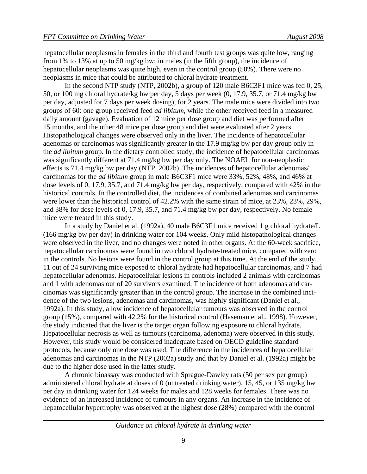hepatocellular neoplasms in females in the third and fourth test groups was quite low, ranging from 1% to 13% at up to 50 mg/kg bw; in males (in the fifth group), the incidence of hepatocellular neoplasms was quite high, even in the control group (50%). There were no neoplasms in mice that could be attributed to chloral hydrate treatment.

In the second NTP study (NTP, 2002b), a group of 120 male B6C3F1 mice was fed 0, 25, 50, or 100 mg chloral hydrate/kg bw per day, 5 days per week (0, 17.9, 35.7, or 71.4 mg/kg bw per day, adjusted for 7 days per week dosing), for 2 years. The male mice were divided into two groups of 60: one group received feed *ad libitum*, while the other received feed in a measured daily amount (gavage). Evaluation of 12 mice per dose group and diet was performed after 15 months, and the other 48 mice per dose group and diet were evaluated after 2 years. Histopathological changes were observed only in the liver. The incidence of hepatocellular adenomas or carcinomas was significantly greater in the 17.9 mg/kg bw per day group only in the *ad libitum* group. In the dietary controlled study, the incidence of hepatocellular carcinomas was significantly different at 71.4 mg/kg bw per day only. The NOAEL for non-neoplastic effects is 71.4 mg/kg bw per day (NTP, 2002b). The incidences of hepatocellular adenomas/ carcinomas for the *ad libitum* group in male B6C3F1 mice were 33%, 52%, 48%, and 46% at dose levels of 0, 17.9, 35.7, and 71.4 mg/kg bw per day, respectively, compared with 42% in the historical controls. In the controlled diet, the incidences of combined adenomas and carcinomas were lower than the historical control of 42.2% with the same strain of mice, at 23%, 23%, 29%, and 38% for dose levels of 0, 17.9, 35.7, and 71.4 mg/kg bw per day, respectively. No female mice were treated in this study.

In a study by Daniel et al. (1992a), 40 male B6C3F1 mice received 1 g chloral hydrate/L (166 mg/kg bw per day) in drinking water for 104 weeks. Only mild histopathological changes were observed in the liver, and no changes were noted in other organs. At the 60-week sacrifice, hepatocellular carcinomas were found in two chloral hydrate-treated mice, compared with zero in the controls. No lesions were found in the control group at this time. At the end of the study, 11 out of 24 surviving mice exposed to chloral hydrate had hepatocellular carcinomas, and 7 had hepatocellular adenomas. Hepatocellular lesions in controls included 2 animals with carcinomas and 1 with adenomas out of 20 survivors examined. The incidence of both adenomas and carcinomas was significantly greater than in the control group. The increase in the combined incidence of the two lesions, adenomas and carcinomas, was highly significant (Daniel et al., 1992a). In this study, a low incidence of hepatocellular tumours was observed in the control group (15%), compared with 42.2% for the historical control (Haseman et al., 1998). However, the study indicated that the liver is the target organ following exposure to chloral hydrate. Hepatocellular necrosis as well as tumours (carcinoma, adenoma) were observed in this study. However, this study would be considered inadequate based on OECD guideline standard protocols, because only one dose was used. The difference in the incidences of hepatocellular adenomas and carcinomas in the NTP (2002a) study and that by Daniel et al. (1992a) might be due to the higher dose used in the latter study.

A chronic bioassay was conducted with Sprague-Dawley rats (50 per sex per group) administered chloral hydrate at doses of 0 (untreated drinking water), 15, 45, or 135 mg/kg bw per day in drinking water for 124 weeks for males and 128 weeks for females. There was no evidence of an increased incidence of tumours in any organs. An increase in the incidence of hepatocellular hypertrophy was observed at the highest dose (28%) compared with the control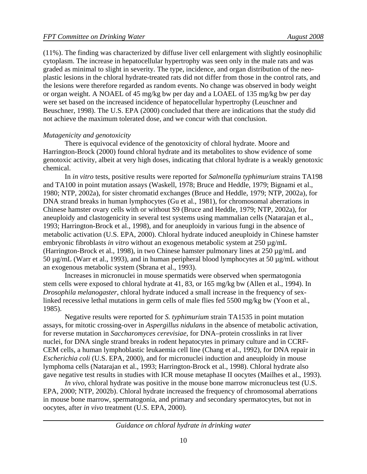(11%). The finding was characterized by diffuse liver cell enlargement with slightly eosinophilic cytoplasm. The increase in hepatocellular hypertrophy was seen only in the male rats and was graded as minimal to slight in severity. The type, incidence, and organ distribution of the neoplastic lesions in the chloral hydrate-treated rats did not differ from those in the control rats, and the lesions were therefore regarded as random events. No change was observed in body weight or organ weight. A NOAEL of 45 mg/kg bw per day and a LOAEL of 135 mg/kg bw per day were set based on the increased incidence of hepatocellular hypertrophy (Leuschner and Beuschner, 1998). The U.S. EPA (2000) concluded that there are indications that the study did not achieve the maximum tolerated dose, and we concur with that conclusion.

#### *Mutagenicity and genotoxicity*

There is equivocal evidence of the genotoxicity of chloral hydrate. Moore and Harrington-Brock (2000) found chloral hydrate and its metabolites to show evidence of some genotoxic activity, albeit at very high doses, indicating that chloral hydrate is a weakly genotoxic chemical.

In *in vitro* tests, positive results were reported for *Salmonella typhimurium* strains TA198 and TA100 in point mutation assays (Waskell, 1978; Bruce and Heddle, 1979; Bignami et al., 1980; NTP, 2002a), for sister chromatid exchanges (Bruce and Heddle, 1979; NTP, 2002a), for DNA strand breaks in human lymphocytes (Gu et al., 1981), for chromosomal aberrations in Chinese hamster ovary cells with or without S9 (Bruce and Heddle, 1979; NTP, 2002a), for aneuploidy and clastogenicity in several test systems using mammalian cells (Natarajan et al., 1993; Harrington-Brock et al., 1998), and for aneuploidy in various fungi in the absence of metabolic activation (U.S. EPA, 2000). Chloral hydrate induced aneuploidy in Chinese hamster embryonic fibroblasts *in vitro* without an exogenous metabolic system at 250  $\mu$ g/mL (Harrington-Brock et al., 1998), in two Chinese hamster pulmonary lines at 250 µg/mL and 50 µg/mL (Warr et al., 1993), and in human peripheral blood lymphocytes at 50 µg/mL without an exogenous metabolic system (Sbrana et al., 1993).

Increases in micronuclei in mouse spermatids were observed when spermatogonia stem cells were exposed to chloral hydrate at 41, 83, or 165 mg/kg bw (Allen et al., 1994). In *Drosophila melanogaster*, chloral hydrate induced a small increase in the frequency of sexlinked recessive lethal mutations in germ cells of male flies fed 5500 mg/kg bw (Yoon et al., 1985).

Negative results were reported for *S. typhimurium* strain TA1535 in point mutation assays, for mitotic crossing-over in *Aspergillus nidulans* in the absence of metabolic activation, for reverse mutation in *Saccharomyces cerevisiae*, for DNA–protein crosslinks in rat liver nuclei, for DNA single strand breaks in rodent hepatocytes in primary culture and in CCRF-CEM cells, a human lymphoblastic leukaemia cell line (Chang et al., 1992), for DNA repair in *Escherichia coli* (U.S. EPA, 2000), and for micronuclei induction and aneuploidy in mouse lymphoma cells (Natarajan et al., 1993; Harrington-Brock et al., 1998). Chloral hydrate also gave negative test results in studies with ICR mouse metaphase II oocytes (Mailhes et al., 1993).

*In vivo*, chloral hydrate was positive in the mouse bone marrow micronucleus test (U.S. EPA, 2000; NTP, 2002b). Chloral hydrate increased the frequency of chromosomal aberrations in mouse bone marrow, spermatogonia, and primary and secondary spermatocytes, but not in oocytes, after *in vivo* treatment (U.S. EPA, 2000).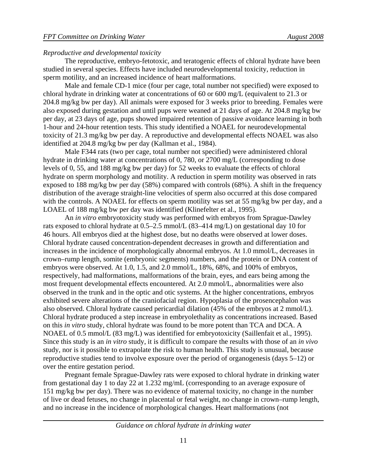#### *Reproductive and developmental toxicity*

The reproductive, embryo-fetotoxic, and teratogenic effects of chloral hydrate have been studied in several species. Effects have included neurodevelopmental toxicity, reduction in sperm motility, and an increased incidence of heart malformations.

Male and female CD-1 mice (four per cage, total number not specified) were exposed to chloral hydrate in drinking water at concentrations of 60 or 600 mg/L (equivalent to 21.3 or 204.8 mg/kg bw per day). All animals were exposed for 3 weeks prior to breeding. Females were also exposed during gestation and until pups were weaned at 21 days of age. At 204.8 mg/kg bw per day, at 23 days of age, pups showed impaired retention of passive avoidance learning in both 1-hour and 24-hour retention tests. This study identified a NOAEL for neurodevelopmental toxicity of 21.3 mg/kg bw per day. A reproductive and developmental effects NOAEL was also identified at 204.8 mg/kg bw per day (Kallman et al., 1984).

Male F344 rats (two per cage, total number not specified) were administered chloral hydrate in drinking water at concentrations of 0, 780, or 2700 mg/L (corresponding to dose levels of 0, 55, and 188 mg/kg bw per day) for 52 weeks to evaluate the effects of chloral hydrate on sperm morphology and motility. A reduction in sperm motility was observed in rats exposed to 188 mg/kg bw per day (58%) compared with controls (68%). A shift in the frequency distribution of the average straight-line velocities of sperm also occurred at this dose compared with the controls. A NOAEL for effects on sperm motility was set at 55 mg/kg bw per day, and a LOAEL of 188 mg/kg bw per day was identified (Klinefelter et al., 1995).

An *in vitro* embryotoxicity study was performed with embryos from Sprague-Dawley rats exposed to chloral hydrate at 0.5–2.5 mmol/L (83–414 mg/L) on gestational day 10 for 46 hours. All embryos died at the highest dose, but no deaths were observed at lower doses. Chloral hydrate caused concentration-dependent decreases in growth and differentiation and increases in the incidence of morphologically abnormal embryos. At 1.0 mmol/L, decreases in crown–rump length, somite (embryonic segments) numbers, and the protein or DNA content of embryos were observed. At 1.0, 1.5, and 2.0 mmol/L, 18%, 68%, and 100% of embryos, respectively, had malformations, malformations of the brain, eyes, and ears being among the most frequent developmental effects encountered. At 2.0 mmol/L, abnormalities were also observed in the trunk and in the optic and otic systems. At the higher concentrations, embryos exhibited severe alterations of the craniofacial region. Hypoplasia of the prosencephalon was also observed. Chloral hydrate caused pericardial dilation (45% of the embryos at 2 mmol/L). Chloral hydrate produced a step increase in embryolethality as concentrations increased. Based on this *in vitro* study, chloral hydrate was found to be more potent than TCA and DCA. A NOAEL of 0.5 mmol/L (83 mg/L) was identified for embryotoxicity (Saillenfait et al., 1995). Since this study is an *in vitro* study, it is difficult to compare the results with those of an *in vivo* study, nor is it possible to extrapolate the risk to human health. This study is unusual, because reproductive studies tend to involve exposure over the period of organogenesis (days 5–12) or over the entire gestation period.

Pregnant female Sprague-Dawley rats were exposed to chloral hydrate in drinking water from gestational day 1 to day 22 at 1.232 mg/mL (corresponding to an average exposure of 151 mg/kg bw per day). There was no evidence of maternal toxicity, no change in the number of live or dead fetuses, no change in placental or fetal weight, no change in crown–rump length, and no increase in the incidence of morphological changes. Heart malformations (not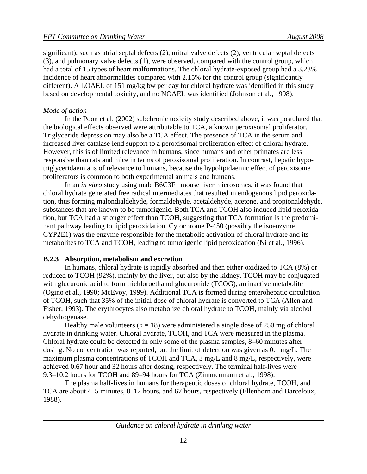significant), such as atrial septal defects (2), mitral valve defects (2), ventricular septal defects (3), and pulmonary valve defects (1), were observed, compared with the control group, which had a total of 15 types of heart malformations. The chloral hydrate-exposed group had a 3.23% incidence of heart abnormalities compared with 2.15% for the control group (significantly different). A LOAEL of 151 mg/kg bw per day for chloral hydrate was identified in this study based on developmental toxicity, and no NOAEL was identified (Johnson et al., 1998).

#### *Mode of action*

In the Poon et al. (2002) subchronic toxicity study described above, it was postulated that the biological effects observed were attributable to TCA, a known peroxisomal proliferator. Triglyceride depression may also be a TCA effect. The presence of TCA in the serum and increased liver catalase lend support to a peroxisomal proliferation effect of chloral hydrate. However, this is of limited relevance in humans, since humans and other primates are less responsive than rats and mice in terms of peroxisomal proliferation. In contrast, hepatic hypotriglyceridaemia is of relevance to humans, because the hypolipidaemic effect of peroxisome proliferators is common to both experimental animals and humans.

In an *in vitro* study using male B6C3F1 mouse liver microsomes, it was found that chloral hydrate generated free radical intermediates that resulted in endogenous lipid peroxidation, thus forming malondialdehyde, formaldehyde, acetaldehyde, acetone, and propionaldehyde, substances that are known to be tumorigenic. Both TCA and TCOH also induced lipid peroxidation, but TCA had a stronger effect than TCOH, suggesting that TCA formation is the predominant pathway leading to lipid peroxidation. Cytochrome P-450 (possibly the isoenzyme CYP2E1) was the enzyme responsible for the metabolic activation of chloral hydrate and its metabolites to TCA and TCOH, leading to tumorigenic lipid peroxidation (Ni et al., 1996).

#### **B.2.3 Absorption, metabolism and excretion**

In humans, chloral hydrate is rapidly absorbed and then either oxidized to TCA (8%) or reduced to TCOH (92%), mainly by the liver, but also by the kidney. TCOH may be conjugated with glucuronic acid to form trichloroethanol glucuronide (TCOG), an inactive metabolite (Ogino et al., 1990; McEvoy, 1999). Additional TCA is formed during enterohepatic circulation of TCOH, such that 35% of the initial dose of chloral hydrate is converted to TCA (Allen and Fisher, 1993). The erythrocytes also metabolize chloral hydrate to TCOH, mainly via alcohol dehydrogenase.

Healthy male volunteers  $(n = 18)$  were administered a single dose of 250 mg of chloral hydrate in drinking water. Chloral hydrate, TCOH, and TCA were measured in the plasma. Chloral hydrate could be detected in only some of the plasma samples, 8–60 minutes after dosing. No concentration was reported, but the limit of detection was given as 0.1 mg/L. The maximum plasma concentrations of TCOH and TCA, 3 mg/L and 8 mg/L, respectively, were achieved 0.67 hour and 32 hours after dosing, respectively. The terminal half-lives were 9.3–10.2 hours for TCOH and 89–94 hours for TCA (Zimmermann et al., 1998).

The plasma half-lives in humans for therapeutic doses of chloral hydrate, TCOH, and TCA are about 4–5 minutes, 8–12 hours, and 67 hours, respectively (Ellenhorn and Barceloux, 1988).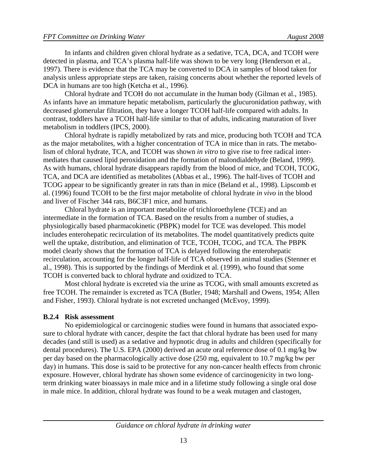In infants and children given chloral hydrate as a sedative, TCA, DCA, and TCOH were detected in plasma, and TCA's plasma half-life was shown to be very long (Henderson et al., 1997). There is evidence that the TCA may be converted to DCA in samples of blood taken for analysis unless appropriate steps are taken, raising concerns about whether the reported levels of DCA in humans are too high (Ketcha et al., 1996).

Chloral hydrate and TCOH do not accumulate in the human body (Gilman et al., 1985). As infants have an immature hepatic metabolism, particularly the glucuronidation pathway, with decreased glomerular filtration, they have a longer TCOH half-life compared with adults. In contrast, toddlers have a TCOH half-life similar to that of adults, indicating maturation of liver metabolism in toddlers (IPCS, 2000).

Chloral hydrate is rapidly metabolized by rats and mice, producing both TCOH and TCA as the major metabolites, with a higher concentration of TCA in mice than in rats. The metabolism of chloral hydrate, TCA, and TCOH was shown *in vitro* to give rise to free radical intermediates that caused lipid peroxidation and the formation of malondialdehyde (Beland, 1999). As with humans, chloral hydrate disappears rapidly from the blood of mice, and TCOH, TCOG, TCA, and DCA are identified as metabolites (Abbas et al., 1996). The half-lives of TCOH and TCOG appear to be significantly greater in rats than in mice (Beland et al., 1998). Lipscomb et al. (1996) found TCOH to be the first major metabolite of chloral hydrate *in vivo* in the blood and liver of Fischer 344 rats, B6C3F1 mice, and humans.

Chloral hydrate is an important metabolite of trichloroethylene (TCE) and an intermediate in the formation of TCA. Based on the results from a number of studies, a physiologically based pharmacokinetic (PBPK) model for TCE was developed. This model includes enterohepatic recirculation of its metabolites. The model quantitatively predicts quite well the uptake, distribution, and elimination of TCE, TCOH, TCOG, and TCA. The PBPK model clearly shows that the formation of TCA is delayed following the enterohepatic recirculation, accounting for the longer half-life of TCA observed in animal studies (Stenner et al., 1998). This is supported by the findings of Merdink et al. (1999), who found that some TCOH is converted back to chloral hydrate and oxidized to TCA.

Most chloral hydrate is excreted via the urine as TCOG, with small amounts excreted as free TCOH. The remainder is excreted as TCA (Butler, 1948; Marshall and Owens, 1954; Allen and Fisher, 1993). Chloral hydrate is not excreted unchanged (McEvoy, 1999).

#### **B.2.4 Risk assessment**

No epidemiological or carcinogenic studies were found in humans that associated exposure to chloral hydrate with cancer, despite the fact that chloral hydrate has been used for many decades (and still is used) as a sedative and hypnotic drug in adults and children (specifically for dental procedures). The U.S. EPA (2000) derived an acute oral reference dose of 0.1 mg/kg bw per day based on the pharmacologically active dose (250 mg, equivalent to 10.7 mg/kg bw per day) in humans. This dose is said to be protective for any non-cancer health effects from chronic exposure. However, chloral hydrate has shown some evidence of carcinogenicity in two longterm drinking water bioassays in male mice and in a lifetime study following a single oral dose in male mice. In addition, chloral hydrate was found to be a weak mutagen and clastogen,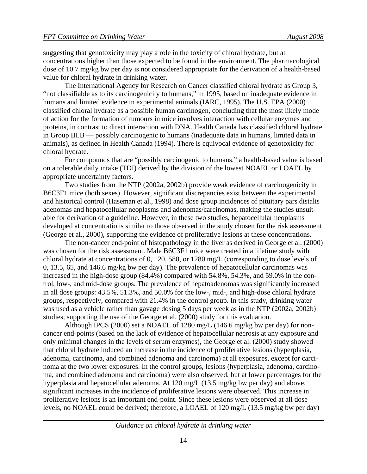suggesting that genotoxicity may play a role in the toxicity of chloral hydrate, but at concentrations higher than those expected to be found in the environment. The pharmacological dose of 10.7 mg/kg bw per day is not considered appropriate for the derivation of a health-based value for chloral hydrate in drinking water.

The International Agency for Research on Cancer classified chloral hydrate as Group 3, "not classifiable as to its carcinogenicity to humans," in 1995, based on inadequate evidence in humans and limited evidence in experimental animals (IARC, 1995). The U.S. EPA (2000) classified chloral hydrate as a possible human carcinogen, concluding that the most likely mode of action for the formation of tumours in mice involves interaction with cellular enzymes and proteins, in contrast to direct interaction with DNA. Health Canada has classified chloral hydrate in Group III.B — possibly carcinogenic to humans (inadequate data in humans, limited data in animals), as defined in Health Canada (1994). There is equivocal evidence of genotoxicity for chloral hydrate.

For compounds that are "possibly carcinogenic to humans," a health-based value is based on a tolerable daily intake (TDI) derived by the division of the lowest NOAEL or LOAEL by appropriate uncertainty factors.

Two studies from the NTP (2002a, 2002b) provide weak evidence of carcinogenicity in B6C3F1 mice (both sexes). However, significant discrepancies exist between the experimental and historical control (Haseman et al., 1998) and dose group incidences of pituitary pars distalis adenomas and hepatocellular neoplasms and adenomas/carcinomas, making the studies unsuitable for derivation of a guideline. However, in these two studies, hepatocellular neoplasms developed at concentrations similar to those observed in the study chosen for the risk assessment (George et al., 2000), supporting the evidence of proliferative lesions at these concentrations.

The non-cancer end-point of histopathology in the liver as derived in George et al. (2000) was chosen for the risk assessment. Male B6C3F1 mice were treated in a lifetime study with chloral hydrate at concentrations of 0, 120, 580, or 1280 mg/L (corresponding to dose levels of 0, 13.5, 65, and 146.6 mg/kg bw per day). The prevalence of hepatocellular carcinomas was increased in the high-dose group (84.4%) compared with 54.8%, 54.3%, and 59.0% in the control, low-, and mid-dose groups. The prevalence of hepatoadenomas was significantly increased in all dose groups: 43.5%, 51.3%, and 50.0% for the low-, mid-, and high-dose chloral hydrate groups, respectively, compared with 21.4% in the control group. In this study, drinking water was used as a vehicle rather than gavage dosing 5 days per week as in the NTP (2002a, 2002b) studies, supporting the use of the George et al. (2000) study for this evaluation.

Although IPCS (2000) set a NOAEL of 1280 mg/L (146.6 mg/kg bw per day) for noncancer end-points (based on the lack of evidence of hepatocellular necrosis at any exposure and only minimal changes in the levels of serum enzymes), the George et al. (2000) study showed that chloral hydrate induced an increase in the incidence of proliferative lesions (hyperplasia, adenoma, carcinoma, and combined adenoma and carcinoma) at all exposures, except for carcinoma at the two lower exposures. In the control groups, lesions (hyperplasia, adenoma, carcinoma, and combined adenoma and carcinoma) were also observed, but at lower percentages for the hyperplasia and hepatocellular adenoma. At 120 mg/L (13.5 mg/kg bw per day) and above, significant increases in the incidence of proliferative lesions were observed. This increase in proliferative lesions is an important end-point. Since these lesions were observed at all dose levels, no NOAEL could be derived; therefore, a LOAEL of 120 mg/L (13.5 mg/kg bw per day)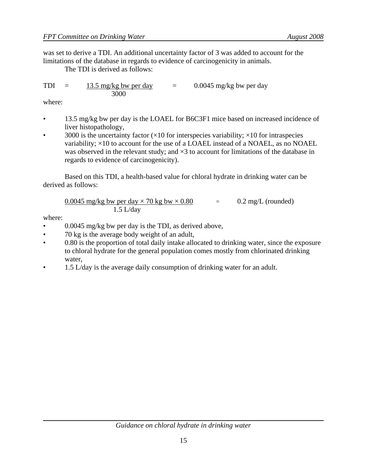was set to derive a TDI. An additional uncertainty factor of 3 was added to account for the limitations of the database in regards to evidence of carcinogenicity in animals.

The TDI is derived as follows:

TDI =  $13.5 \text{ mg/kg}$  bw per day =  $0.0045 \text{ mg/kg}$  bw per day 3000

where:

- 13.5 mg/kg bw per day is the LOAEL for B6C3F1 mice based on increased incidence of liver histopathology,
- 3000 is the uncertainty factor  $(\times 10$  for interspecies variability;  $\times 10$  for intraspecies variability;  $\times 10$  to account for the use of a LOAEL instead of a NOAEL, as no NOAEL was observed in the relevant study; and  $\times$ 3 to account for limitations of the database in regards to evidence of carcinogenicity).

Based on this TDI, a health-based value for chloral hydrate in drinking water can be derived as follows:

$$
\frac{0.0045 \text{ mg/kg bw per day} \times 70 \text{ kg bw} \times 0.80}{1.5 \text{ L/day}} \approx 0.2 \text{ mg/L (rounded)}
$$

where:

- 0.0045 mg/kg bw per day is the TDI, as derived above,
- 70 kg is the average body weight of an adult,
- 0.80 is the proportion of total daily intake allocated to drinking water, since the exposure to chloral hydrate for the general population comes mostly from chlorinated drinking water,
- 1.5 L/day is the average daily consumption of drinking water for an adult.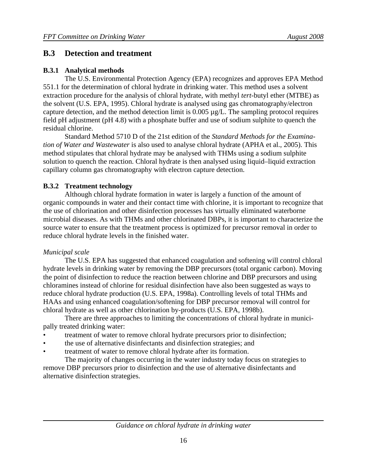## **B.3 Detection and treatment**

### **B.3.1 Analytical methods**

The U.S. Environmental Protection Agency (EPA) recognizes and approves EPA Method 551.1 for the determination of chloral hydrate in drinking water. This method uses a solvent extraction procedure for the analysis of chloral hydrate, with methyl *tert*-butyl ether (MTBE) as the solvent (U.S. EPA, 1995). Chloral hydrate is analysed using gas chromatography/electron capture detection, and the method detection limit is 0.005 µg/L. The sampling protocol requires field pH adjustment (pH 4.8) with a phosphate buffer and use of sodium sulphite to quench the residual chlorine.

Standard Method 5710 D of the 21st edition of the *Standard Methods for the Examination of Water and Wastewater* is also used to analyse chloral hydrate (APHA et al., 2005). This method stipulates that chloral hydrate may be analysed with THMs using a sodium sulphite solution to quench the reaction. Chloral hydrate is then analysed using liquid–liquid extraction capillary column gas chromatography with electron capture detection.

## **B.3.2 Treatment technology**

Although chloral hydrate formation in water is largely a function of the amount of organic compounds in water and their contact time with chlorine, it is important to recognize that the use of chlorination and other disinfection processes has virtually eliminated waterborne microbial diseases. As with THMs and other chlorinated DBPs, it is important to characterize the source water to ensure that the treatment process is optimized for precursor removal in order to reduce chloral hydrate levels in the finished water.

## *Municipal scale*

The U.S. EPA has suggested that enhanced coagulation and softening will control chloral hydrate levels in drinking water by removing the DBP precursors (total organic carbon). Moving the point of disinfection to reduce the reaction between chlorine and DBP precursors and using chloramines instead of chlorine for residual disinfection have also been suggested as ways to reduce chloral hydrate production (U.S. EPA, 1998a). Controlling levels of total THMs and HAAs and using enhanced coagulation/softening for DBP precursor removal will control for chloral hydrate as well as other chlorination by-products (U.S. EPA, 1998b).

There are three approaches to limiting the concentrations of chloral hydrate in municipally treated drinking water:

- treatment of water to remove chloral hydrate precursors prior to disinfection;
- the use of alternative disinfectants and disinfection strategies; and
- treatment of water to remove chloral hydrate after its formation.

The majority of changes occurring in the water industry today focus on strategies to remove DBP precursors prior to disinfection and the use of alternative disinfectants and alternative disinfection strategies.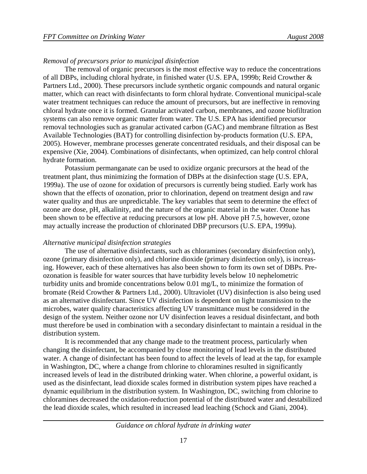#### *Removal of precursors prior to municipal disinfection*

The removal of organic precursors is the most effective way to reduce the concentrations of all DBPs, including chloral hydrate, in finished water (U.S. EPA, 1999b; Reid Crowther & Partners Ltd., 2000). These precursors include synthetic organic compounds and natural organic matter, which can react with disinfectants to form chloral hydrate. Conventional municipal-scale water treatment techniques can reduce the amount of precursors, but are ineffective in removing chloral hydrate once it is formed. Granular activated carbon, membranes, and ozone biofiltration systems can also remove organic matter from water. The U.S. EPA has identified precursor removal technologies such as granular activated carbon (GAC) and membrane filtration as Best Available Technologies (BAT) for controlling disinfection by-products formation (U.S. EPA, 2005). However, membrane processes generate concentrated residuals, and their disposal can be expensive (Xie, 2004). Combinations of disinfectants, when optimized, can help control chloral hydrate formation.

Potassium permanganate can be used to oxidize organic precursors at the head of the treatment plant, thus minimizing the formation of DBPs at the disinfection stage (U.S. EPA, 1999a). The use of ozone for oxidation of precursors is currently being studied. Early work has shown that the effects of ozonation, prior to chlorination, depend on treatment design and raw water quality and thus are unpredictable. The key variables that seem to determine the effect of ozone are dose, pH, alkalinity, and the nature of the organic material in the water. Ozone has been shown to be effective at reducing precursors at low pH. Above pH 7.5, however, ozone may actually increase the production of chlorinated DBP precursors (U.S. EPA, 1999a).

#### *Alternative municipal disinfection strategies*

The use of alternative disinfectants, such as chloramines (secondary disinfection only), ozone (primary disinfection only), and chlorine dioxide (primary disinfection only), is increasing. However, each of these alternatives has also been shown to form its own set of DBPs. Preozonation is feasible for water sources that have turbidity levels below 10 nephelometric turbidity units and bromide concentrations below 0.01 mg/L, to minimize the formation of bromate (Reid Crowther & Partners Ltd., 2000). Ultraviolet (UV) disinfection is also being used as an alternative disinfectant. Since UV disinfection is dependent on light transmission to the microbes, water quality characteristics affecting UV transmittance must be considered in the design of the system. Neither ozone nor UV disinfection leaves a residual disinfectant, and both must therefore be used in combination with a secondary disinfectant to maintain a residual in the distribution system.

It is recommended that any change made to the treatment process, particularly when changing the disinfectant, be accompanied by close monitoring of lead levels in the distributed water. A change of disinfectant has been found to affect the levels of lead at the tap, for example in Washington, DC, where a change from chlorine to chloramines resulted in significantly increased levels of lead in the distributed drinking water. When chlorine, a powerful oxidant, is used as the disinfectant, lead dioxide scales formed in distribution system pipes have reached a dynamic equilibrium in the distribution system. In Washington, DC, switching from chlorine to chloramines decreased the oxidation-reduction potential of the distributed water and destabilized the lead dioxide scales, which resulted in increased lead leaching (Schock and Giani, 2004).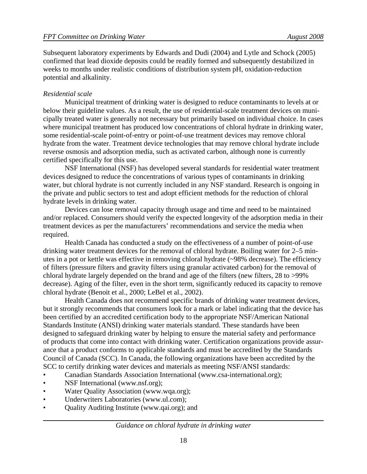Subsequent laboratory experiments by Edwards and Dudi (2004) and Lytle and Schock (2005) confirmed that lead dioxide deposits could be readily formed and subsequently destabilized in weeks to months under realistic conditions of distribution system pH, oxidation-reduction potential and alkalinity.

#### *Residential scale*

Municipal treatment of drinking water is designed to reduce contaminants to levels at or below their guideline values. As a result, the use of residential-scale treatment devices on municipally treated water is generally not necessary but primarily based on individual choice. In cases where municipal treatment has produced low concentrations of chloral hydrate in drinking water, some residential-scale point-of-entry or point-of-use treatment devices may remove chloral hydrate from the water. Treatment device technologies that may remove chloral hydrate include reverse osmosis and adsorption media, such as activated carbon, although none is currently certified specifically for this use.

NSF International (NSF) has developed several standards for residential water treatment devices designed to reduce the concentrations of various types of contaminants in drinking water, but chloral hydrate is not currently included in any NSF standard. Research is ongoing in the private and public sectors to test and adopt efficient methods for the reduction of chloral hydrate levels in drinking water.

Devices can lose removal capacity through usage and time and need to be maintained and/or replaced. Consumers should verify the expected longevity of the adsorption media in their treatment devices as per the manufacturers' recommendations and service the media when required.

Health Canada has conducted a study on the effectiveness of a number of point-of-use drinking water treatment devices for the removal of chloral hydrate. Boiling water for 2–5 minutes in a pot or kettle was effective in removing chloral hydrate (~98% decrease). The efficiency of filters (pressure filters and gravity filters using granular activated carbon) for the removal of chloral hydrate largely depended on the brand and age of the filters (new filters, 28 to >99% decrease). Aging of the filter, even in the short term, significantly reduced its capacity to remove chloral hydrate (Benoit et al., 2000; LeBel et al., 2002).

Health Canada does not recommend specific brands of drinking water treatment devices, but it strongly recommends that consumers look for a mark or label indicating that the device has been certified by an accredited certification body to the appropriate NSF/American National Standards Institute (ANSI) drinking water materials standard. These standards have been designed to safeguard drinking water by helping to ensure the material safety and performance of products that come into contact with drinking water. Certification organizations provide assurance that a product conforms to applicable standards and must be accredited by the Standards Council of Canada (SCC). In Canada, the following organizations have been accredited by the SCC to certify drinking water devices and materials as meeting NSF/ANSI standards:

- Canadian Standards Association International (www.csa-international.org);
- NSF International (www.nsf.org);
- Water Quality Association (www.wqa.org);
- Underwriters Laboratories (www.ul.com);
- Quality Auditing Institute (www.qai.org); and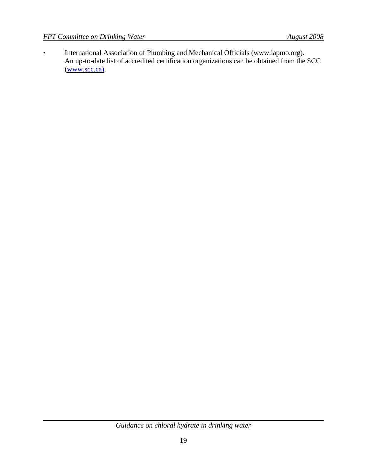• International Association of Plumbing and Mechanical Officials (www.iapmo.org). An up-to-date list of accredited certification organizations can be obtained from the SCC (www.scc.ca).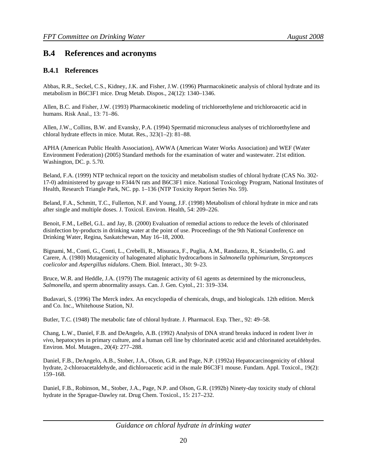## **B.4 References and acronyms**

#### **B.4.1 References**

Abbas, R.R., Seckel, C.S., Kidney, J.K. and Fisher, J.W. (1996) Pharmacokinetic analysis of chloral hydrate and its metabolism in B6C3F1 mice. Drug Metab. Dispos., 24(12): 1340–1346.

Allen, B.C. and Fisher, J.W. (1993) Pharmacokinetic modeling of trichloroethylene and trichloroacetic acid in humans. Risk Anal., 13: 71–86.

Allen, J.W., Collins, B.W. and Evansky, P.A. (1994) Spermatid micronucleus analyses of trichloroethylene and chloral hydrate effects in mice. Mutat. Res., 323(1–2): 81–88.

APHA (American Public Health Association), AWWA (American Water Works Association) and WEF (Water Environment Federation) (2005) Standard methods for the examination of water and wastewater. 21st edition. Washington, DC. p. 5.70.

Beland, F.A. (1999) NTP technical report on the toxicity and metabolism studies of chloral hydrate (CAS No. 302- 17-0) administered by gavage to F344/N rats and B6C3F1 mice. National Toxicology Program, National Institutes of Health, Research Triangle Park, NC. pp. 1–136 (NTP Toxicity Report Series No. 59).

Beland, F.A., Schmitt, T.C., Fullerton, N.F. and Young, J.F. (1998) Metabolism of chloral hydrate in mice and rats after single and multiple doses. J. Toxicol. Environ. Health, 54: 209–226.

Benoit, F.M., LeBel, G.L. and Jay, B. (2000) Evaluation of remedial actions to reduce the levels of chlorinated disinfection by-products in drinking water at the point of use. Proceedings of the 9th National Conference on Drinking Water, Regina, Saskatchewan, May 16–18, 2000.

Bignami, M., Conti, G., Conti, L., Crebelli, R., Misuraca, F., Puglia, A.M., Randazzo, R., Sciandrello, G. and Carere, A. (1980) Mutagenicity of halogenated aliphatic hydrocarbons in *Salmonella typhimurium*, *Streptomyces coelicolor* and *Aspergillus nidulans*. Chem. Biol. Interact., 30: 9–23.

Bruce, W.R. and Heddle, J.A. (1979) The mutagenic activity of 61 agents as determined by the micronucleus, *Salmonella*, and sperm abnormality assays. Can. J. Gen. Cytol., 21: 319–334.

Budavari, S. (1996) The Merck index. An encyclopedia of chemicals, drugs, and biologicals. 12th edition. Merck and Co. Inc., Whitehouse Station, NJ.

Butler, T.C. (1948) The metabolic fate of chloral hydrate. J. Pharmacol. Exp. Ther., 92: 49–58.

Chang, L.W., Daniel, F.B. and DeAngelo, A.B. (1992) Analysis of DNA strand breaks induced in rodent liver *in vivo*, hepatocytes in primary culture, and a human cell line by chlorinated acetic acid and chlorinated acetaldehydes. Environ. Mol. Mutagen., 20(4): 277–288.

Daniel, F.B., DeAngelo, A.B., Stober, J.A., Olson, G.R. and Page, N.P. (1992a) Hepatocarcinogenicity of chloral hydrate, 2-chloroacetaldehyde, and dichloroacetic acid in the male B6C3F1 mouse. Fundam. Appl. Toxicol., 19(2): 159–168.

Daniel, F.B., Robinson, M., Stober, J.A., Page, N.P. and Olson, G.R. (1992b) Ninety-day toxicity study of chloral hydrate in the Sprague-Dawley rat. Drug Chem. Toxicol., 15: 217–232.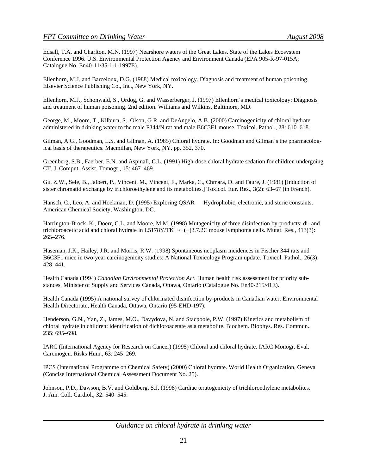Edsall, T.A. and Charlton, M.N. (1997) Nearshore waters of the Great Lakes. State of the Lakes Ecosystem Conference 1996. U.S. Environmental Protection Agency and Environment Canada (EPA 905-R-97-015A; Catalogue No. En40-11/35-1-1-1997E).

Ellenhorn, M.J. and Barceloux, D.G. (1988) Medical toxicology. Diagnosis and treatment of human poisoning. Elsevier Science Publishing Co., Inc., New York, NY.

Ellenhorn, M.J., Schonwald, S., Ordog, G. and Wasserberger, J. (1997) Ellenhorn's medical toxicology: Diagnosis and treatment of human poisoning. 2nd edition. Williams and Wilkins, Baltimore, MD.

George, M., Moore, T., Kilburn, S., Olson, G.R. and DeAngelo, A.B. (2000) Carcinogenicity of chloral hydrate administered in drinking water to the male F344/N rat and male B6C3F1 mouse. Toxicol. Pathol., 28: 610–618.

Gilman, A.G., Goodman, L.S. and Gilman, A. (1985) Chloral hydrate. In: Goodman and Gilman's the pharmacological basis of therapeutics. Macmillan, New York, NY. pp. 352, 370.

Greenberg, S.B., Faerber, E.N. and Aspinall, C.L. (1991) High-dose chloral hydrate sedation for children undergoing CT. J. Comput. Assist. Tomogr., 15: 467–469.

Gu, Z.W., Sele, B., Jalbert, P., Vincent, M., Vincent, F., Marka, C., Chmara, D. and Faure, J. (1981) [Induction of sister chromatid exchange by trichloroethylene and its metabolites.] Toxicol. Eur. Res., 3(2): 63–67 (in French).

Hansch, C., Leo, A. and Hoekman, D. (1995) Exploring QSAR — Hydrophobic, electronic, and steric constants. American Chemical Society, Washington, DC.

Harrington-Brock, K., Doerr, C.L. and Moore, M.M. (1998) Mutagenicity of three disinfection by-products: di- and trichloroacetic acid and chloral hydrate in L5178Y/TK  $+/(-)3.7.2C$  mouse lymphoma cells. Mutat. Res., 413(3): 265–276.

Haseman, J.K., Hailey, J.R. and Morris, R.W. (1998) Spontaneous neoplasm incidences in Fischer 344 rats and B6C3F1 mice in two-year carcinogenicity studies: A National Toxicology Program update. Toxicol. Pathol., 26(3): 428–441.

Health Canada (1994) *Canadian Environmental Protection Act*. Human health risk assessment for priority substances. Minister of Supply and Services Canada, Ottawa, Ontario (Catalogue No. En40-215/41E).

Health Canada (1995) A national survey of chlorinated disinfection by-products in Canadian water. Environmental Health Directorate, Health Canada, Ottawa, Ontario (95-EHD-197).

Henderson, G.N., Yan, Z., James, M.O., Davydova, N. and Stacpoole, P.W. (1997) Kinetics and metabolism of chloral hydrate in children: identification of dichloroacetate as a metabolite. Biochem. Biophys. Res. Commun., 235: 695–698.

IARC (International Agency for Research on Cancer) (1995) Chloral and chloral hydrate. IARC Monogr. Eval. Carcinogen. Risks Hum., 63: 245–269.

IPCS (International Programme on Chemical Safety) (2000) Chloral hydrate. World Health Organization, Geneva (Concise International Chemical Assessment Document No. 25).

Johnson, P.D., Dawson, B.V. and Goldberg, S.J. (1998) Cardiac teratogenicity of trichloroethylene metabolites. J. Am. Coll. Cardiol., 32: 540–545.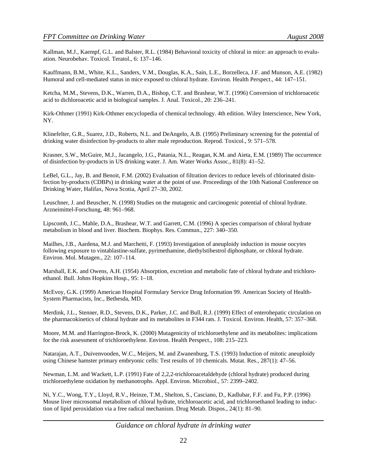Kallman, M.J., Kaempf, G.L. and Balster, R.L. (1984) Behavioral toxicity of chloral in mice: an approach to evaluation. Neurobehav. Toxicol. Teratol., 6: 137–146.

Kauffmann, B.M., White, K.L., Sanders, V.M., Douglas, K.A., Sain, L.E., Borzelleca, J.F. and Munson, A.E. (1982) Humoral and cell-mediated status in mice exposed to chloral hydrate. Environ. Health Perspect., 44: 147–151.

Ketcha, M.M., Stevens, D.K., Warren, D.A., Bishop, C.T. and Brashear, W.T. (1996) Conversion of trichloroacetic acid to dichloroacetic acid in biological samples. J. Anal. Toxicol., 20: 236–241.

Kirk-Othmer (1991) Kirk-Othmer encyclopedia of chemical technology. 4th edition. Wiley Interscience, New York, NY.

Klinefelter, G.R., Suarez, J.D., Roberts, N.L. and DeAngelo, A.B. (1995) Preliminary screening for the potential of drinking water disinfection by-products to alter male reproduction. Reprod. Toxicol., 9: 571–578.

Krasner, S.W., McGuire, M.J., Jacangelo, J.G., Patania, N.L., Reagan, K.M. and Aieta, E.M. (1989) The occurrence of disinfection by-products in US drinking water. J. Am. Water Works Assoc., 81(8): 41–52.

LeBel, G.L., Jay, B. and Benoit, F.M. (2002) Evaluation of filtration devices to reduce levels of chlorinated disinfection by-products (CDBPs) in drinking water at the point of use. Proceedings of the 10th National Conference on Drinking Water, Halifax, Nova Scotia, April 27–30, 2002.

Leuschner, J. and Beuscher, N. (1998) Studies on the mutagenic and carcinogenic potential of chloral hydrate. Arzneimittel-Forschung, 48: 961–968.

Lipscomb, J.C., Mahle, D.A., Brashear, W.T. and Garrett, C.M. (1996) A species comparison of chloral hydrate metabolism in blood and liver. Biochem. Biophys. Res. Commun., 227: 340–350.

Mailhes, J.B., Aardena, M.J. and Marchetti, F. (1993) Investigation of aneuploidy induction in mouse oocytes following exposure to vintablastine-sulfate, pyrimethamine, diethylstibestrol diphosphate, or chloral hydrate. Environ. Mol. Mutagen., 22: 107–114.

Marshall, E.K. and Owens, A.H. (1954) Absorption, excretion and metabolic fate of chloral hydrate and trichloroethanol. Bull. Johns Hopkins Hosp., 95: 1–18.

McEvoy, G.K. (1999) American Hospital Formulary Service Drug Information 99. American Society of Health-System Pharmacists, Inc., Bethesda, MD.

Merdink, J.L., Stenner, R.D., Stevens, D.K., Parker, J.C. and Bull, R.J. (1999) Effect of enterohepatic circulation on the pharmacokinetics of chloral hydrate and its metabolites in F344 rats. J. Toxicol. Environ. Health, 57: 357–368.

Moore, M.M. and Harrington-Brock, K. (2000) Mutagenicity of trichloroethylene and its metabolites: implications for the risk assessment of trichloroethylene. Environ. Health Perspect., 108: 215–223.

Natarajan, A.T., Duivenvooden, W.C., Meijers, M. and Zwanenburg, T.S. (1993) Induction of mitotic aneuploidy using Chinese hamster primary embryonic cells: Test results of 10 chemicals. Mutat. Res., 287(1): 47–56.

Newman, L.M. and Wackett, L.P. (1991) Fate of 2,2,2-trichloroacetaldehyde (chloral hydrate) produced during trichloroethylene oxidation by methanotrophs. Appl. Environ. Microbiol., 57: 2399–2402.

Ni, Y.C., Wong, T.Y., Lloyd, R.V., Heinze, T.M., Shelton, S., Casciano, D., Kadlubar, F.F. and Fu, P.P. (1996) Mouse liver microsomal metabolism of chloral hydrate, trichloroacetic acid, and trichloroethanol leading to induction of lipid peroxidation via a free radical mechanism. Drug Metab. Dispos., 24(1): 81–90.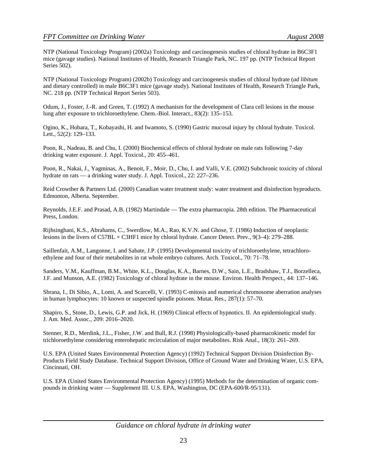NTP (National Toxicology Program) (2002a) Toxicology and carcinogenesis studies of chloral hydrate in B6C3F1 mice (gavage studies). National Institutes of Health, Research Triangle Park, NC. 197 pp. (NTP Technical Report Series 502).

NTP (National Toxicology Program) (2002b) Toxicology and carcinogenesis studies of chloral hydrate (*ad libitum* and dietary controlled) in male B6C3F1 mice (gavage study). National Institutes of Health, Research Triangle Park, NC. 218 pp. (NTP Technical Report Series 503).

Odum, J., Foster, J.-R. and Green, T. (1992) A mechanism for the development of Clara cell lesions in the mouse lung after exposure to trichloroethylene. Chem.-Biol. Interact., 83(2): 135–153.

Ogino, K., Hobara, T., Kobayashi, H. and Iwamoto, S. (1990) Gastric mucosal injury by chloral hydrate. Toxicol. Lett., 52(2): 129–133.

Poon, R., Nadeau, B. and Chu, I. (2000) Biochemical effects of chloral hydrate on male rats following 7-day drinking water exposure. J. Appl. Toxicol., 20: 455–461.

Poon, R., Nakai, J., Yagminas, A., Benoit, F., Moir, D., Chu, I. and Valli, V.E. (2002) Subchronic toxicity of chloral hydrate on rats — a drinking water study. J. Appl. Toxicol., 22: 227–236.

Reid Crowther & Partners Ltd. (2000) Canadian water treatment study: water treatment and disinfection byproducts. Edmonton, Alberta. September.

Reynolds, J.E.F. and Prasad, A.B. (1982) Martindale — The extra pharmacopia. 28th edition. The Pharmaceutical Press, London.

Rijhsinghani, K.S., Abrahams, C., Swerdlow, M.A., Rao, K.V.N. and Ghose, T. (1986) Induction of neoplastic lesions in the livers of C57BL × C3HF1 mice by chloral hydrate. Cancer Detect. Prev., 9(3–4): 279–288.

Saillenfait, A.M., Langonne, I. and Sabate, J.P. (1995) Developmental toxicity of trichloroethylene, tetrachloroethylene and four of their metabolites in rat whole embryo cultures. Arch. Toxicol., 70: 71–78.

Sanders, V.M., Kauffman, B.M., White, K.L., Douglas, K.A., Barnes, D.W., Sain, L.E., Bradshaw, T.J., Borzelleca, J.F. and Munson, A.E. (1982) Toxicology of chloral hydrate in the mouse. Environ. Health Perspect., 44: 137–146.

Sbrana, I., Di Sibio, A., Lomi, A. and Scarcelli, V. (1993) C-mitosis and numerical chromosome aberration analyses in human lymphocytes: 10 known or suspected spindle poisons. Mutat. Res., 287(1): 57–70.

Shapiro, S., Stone, D., Lewis, G.P. and Jick, H. (1969) Clinical effects of hypnotics. II. An epidemiological study. J. Am. Med. Assoc., 209: 2016–2020.

Stenner, R.D., Merdink, J.L., Fisher, J.W. and Bull, R.J. (1998) Physiologically-based pharmacokinetic model for trichloroethylene considering enterohepatic recirculation of major metabolites. Risk Anal., 18(3): 261–269.

U.S. EPA (United States Environmental Protection Agency) (1992) Technical Support Division Disinfection By-Products Field Study Database. Technical Support Division, Office of Ground Water and Drinking Water, U.S. EPA, Cincinnati, OH.

U.S. EPA (United States Environmental Protection Agency) (1995) Methods for the determination of organic compounds in drinking water — Supplement III. U.S. EPA, Washington, DC (EPA-600/R-95/131).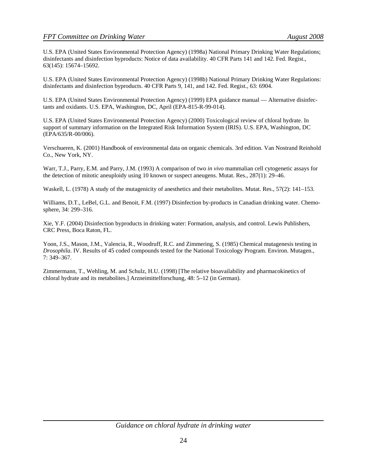U.S. EPA (United States Environmental Protection Agency) (1998a) National Primary Drinking Water Regulations; disinfectants and disinfection byproducts: Notice of data availability. 40 CFR Parts 141 and 142. Fed. Regist., 63(145): 15674–15692.

U.S. EPA (United States Environmental Protection Agency) (1998b) National Primary Drinking Water Regulations: disinfectants and disinfection byproducts. 40 CFR Parts 9, 141, and 142. Fed. Regist., 63: 6904.

U.S. EPA (United States Environmental Protection Agency) (1999) EPA guidance manual — Alternative disinfectants and oxidants. U.S. EPA, Washington, DC, April (EPA-815-R-99-014).

U.S. EPA (United States Environmental Protection Agency) (2000) Toxicological review of chloral hydrate. In support of summary information on the Integrated Risk Information System (IRIS). U.S. EPA, Washington, DC (EPA/635/R-00/006).

Verschueren, K. (2001) Handbook of environmental data on organic chemicals. 3rd edition. Van Nostrand Reinhold Co., New York, NY.

Warr, T.J., Parry, E.M. and Parry, J.M. (1993) A comparison of two *in vivo* mammalian cell cytogenetic assays for the detection of mitotic aneuploidy using 10 known or suspect aneugens. Mutat. Res., 287(1): 29–46.

Waskell, L. (1978) A study of the mutagenicity of anesthetics and their metabolites. Mutat. Res., 57(2): 141–153.

Williams, D.T., LeBel, G.L. and Benoit, F.M. (1997) Disinfection by-products in Canadian drinking water. Chemosphere, 34: 299–316.

Xie, Y.F. (2004) Disinfection byproducts in drinking water: Formation, analysis, and control. Lewis Publishers, CRC Press, Boca Raton, FL.

Yoon, J.S., Mason, J.M., Valencia, R., Woodruff, R.C. and Zimmering, S. (1985) Chemical mutagenesis testing in *Drosophila*. IV. Results of 45 coded compounds tested for the National Toxicology Program. Environ. Mutagen., 7: 349–367.

Zimmermann, T., Wehling, M. and Schulz, H.U. (1998) [The relative bioavailability and pharmacokinetics of chloral hydrate and its metabolites.] Arzneimittelforschung, 48: 5–12 (in German).